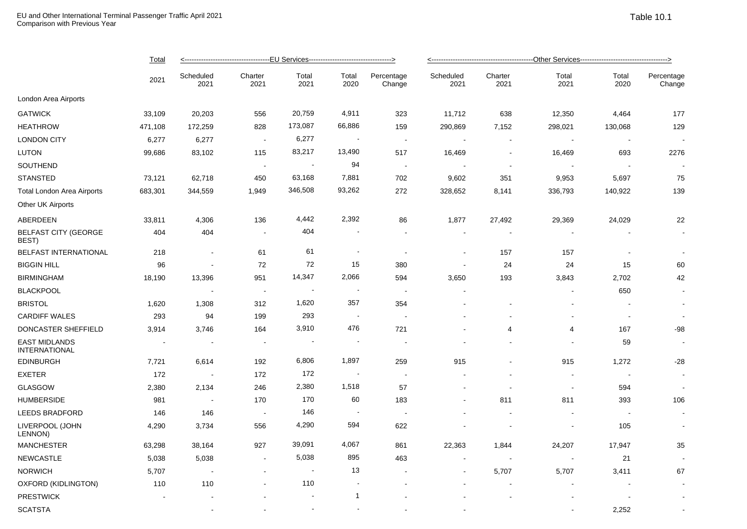|                                              | <b>Total</b><br>2021 | <------------------------------------EU Services--------------------------------> |                          |                          |                          |                          |                          |                 |                          |                          |                      |  |
|----------------------------------------------|----------------------|-----------------------------------------------------------------------------------|--------------------------|--------------------------|--------------------------|--------------------------|--------------------------|-----------------|--------------------------|--------------------------|----------------------|--|
|                                              |                      | Scheduled<br>2021                                                                 | Charter<br>2021          | Total<br>2021            | Total<br>2020            | Percentage<br>Change     | Scheduled<br>2021        | Charter<br>2021 | Total<br>2021            | Total<br>2020            | Percentage<br>Change |  |
| London Area Airports                         |                      |                                                                                   |                          |                          |                          |                          |                          |                 |                          |                          |                      |  |
| <b>GATWICK</b>                               | 33,109               | 20,203                                                                            | 556                      | 20,759                   | 4,911                    | 323                      | 11,712                   | 638             | 12,350                   | 4,464                    | 177                  |  |
| <b>HEATHROW</b>                              | 471,108              | 172,259                                                                           | 828                      | 173,087                  | 66,886                   | 159                      | 290,869                  | 7,152           | 298,021                  | 130,068                  | 129                  |  |
| <b>LONDON CITY</b>                           | 6,277                | 6,277                                                                             | $\sim$                   | 6,277                    | $\blacksquare$           | $\sim$                   |                          | $\sim$          | $\sim$                   | $\sim$                   | $\sim$               |  |
| <b>LUTON</b>                                 | 99,686               | 83,102                                                                            | 115                      | 83,217                   | 13,490                   | 517                      | 16,469                   |                 | 16,469                   | 693                      | 2276                 |  |
| SOUTHEND                                     |                      |                                                                                   | $\blacksquare$           | $\blacksquare$           | 94                       | $\sim$                   |                          | $\sim$          |                          | $\overline{\phantom{a}}$ |                      |  |
| <b>STANSTED</b>                              | 73,121               | 62,718                                                                            | 450                      | 63,168                   | 7,881                    | 702                      | 9,602                    | 351             | 9,953                    | 5,697                    | 75                   |  |
| <b>Total London Area Airports</b>            | 683,301              | 344,559                                                                           | 1,949                    | 346,508                  | 93,262                   | 272                      | 328,652                  | 8,141           | 336,793                  | 140,922                  | 139                  |  |
| Other UK Airports                            |                      |                                                                                   |                          |                          |                          |                          |                          |                 |                          |                          |                      |  |
| ABERDEEN                                     | 33,811               | 4,306                                                                             | 136                      | 4,442                    | 2,392                    | 86                       | 1,877                    | 27,492          | 29,369                   | 24,029                   | 22                   |  |
| <b>BELFAST CITY (GEORGE</b><br>BEST)         | 404                  | 404                                                                               | $\sim$                   | 404                      |                          | $\sim$                   | $\sim$                   |                 |                          |                          |                      |  |
| <b>BELFAST INTERNATIONAL</b>                 | 218                  | $\blacksquare$                                                                    | 61                       | 61                       | $\overline{\phantom{a}}$ | $\blacksquare$           | $\blacksquare$           | 157             | 157                      | $\overline{\phantom{a}}$ | $\blacksquare$       |  |
| <b>BIGGIN HILL</b>                           | 96                   |                                                                                   | 72                       | 72                       | 15                       | 380                      |                          | 24              | 24                       | 15                       | 60                   |  |
| <b>BIRMINGHAM</b>                            | 18,190               | 13,396                                                                            | 951                      | 14,347                   | 2,066                    | 594                      | 3,650                    | 193             | 3,843                    | 2,702                    | 42                   |  |
| <b>BLACKPOOL</b>                             |                      |                                                                                   | $\blacksquare$           | $\overline{\phantom{a}}$ | $\ddot{\phantom{0}}$     | $\blacksquare$           |                          |                 |                          | 650                      | $\blacksquare$       |  |
| <b>BRISTOL</b>                               | 1,620                | 1,308                                                                             | 312                      | 1,620                    | 357                      | 354                      |                          |                 |                          |                          | $\blacksquare$       |  |
| <b>CARDIFF WALES</b>                         | 293                  | 94                                                                                | 199                      | 293                      | $\sim$                   | $\overline{a}$           |                          |                 | $\overline{a}$           | ÷,                       | $\sim$               |  |
| DONCASTER SHEFFIELD                          | 3,914                | 3,746                                                                             | 164                      | 3,910                    | 476                      | 721                      |                          | 4               | 4                        | 167                      | -98                  |  |
| <b>EAST MIDLANDS</b><br><b>INTERNATIONAL</b> |                      |                                                                                   |                          | $\blacksquare$           |                          |                          |                          |                 |                          | 59                       |                      |  |
| <b>EDINBURGH</b>                             | 7,721                | 6,614                                                                             | 192                      | 6,806                    | 1,897                    | 259                      | 915                      |                 | 915                      | 1,272                    | $-28$                |  |
| <b>EXETER</b>                                | 172                  | $\sim$                                                                            | 172                      | 172                      | <b>.</b>                 | $\blacksquare$           |                          |                 |                          |                          | $\sim$               |  |
| <b>GLASGOW</b>                               | 2,380                | 2,134                                                                             | 246                      | 2,380                    | 1,518                    | 57                       |                          | $\sim$          | $\overline{\phantom{a}}$ | 594                      | $\sim$               |  |
| <b>HUMBERSIDE</b>                            | 981                  | $\overline{\phantom{a}}$                                                          | 170                      | 170                      | 60                       | 183                      |                          | 811             | 811                      | 393                      | 106                  |  |
| LEEDS BRADFORD                               | 146                  | 146                                                                               | $\overline{\phantom{a}}$ | 146                      | $\blacksquare$           | $\overline{\phantom{a}}$ |                          |                 |                          |                          | $\sim$               |  |
| LIVERPOOL (JOHN<br>LENNON)                   | 4,290                | 3,734                                                                             | 556                      | 4,290                    | 594                      | 622                      |                          |                 |                          | 105                      | $\blacksquare$       |  |
| <b>MANCHESTER</b>                            | 63,298               | 38,164                                                                            | 927                      | 39,091                   | 4,067                    | 861                      | 22,363                   | 1,844           | 24,207                   | 17,947                   | 35                   |  |
| <b>NEWCASTLE</b>                             | 5,038                | 5,038                                                                             | $\sim$                   | 5,038                    | 895                      | 463                      |                          |                 |                          | 21                       |                      |  |
| <b>NORWICH</b>                               | 5,707                | $\sim$                                                                            | $\overline{\phantom{a}}$ | $\overline{\phantom{a}}$ | 13                       | $\overline{\phantom{a}}$ | $\overline{\phantom{a}}$ | 5,707           | 5,707                    | 3,411                    | 67                   |  |
| OXFORD (KIDLINGTON)                          | 110                  | 110                                                                               |                          | 110                      |                          |                          |                          |                 |                          |                          | $\blacksquare$       |  |
| <b>PRESTWICK</b>                             |                      |                                                                                   |                          | $\sim$                   | $\mathbf{1}$             |                          |                          |                 |                          |                          |                      |  |

 $\textsf{SCATSTA} \hspace{1.5cm} 2.252$   $\textsf{CATSTA} \hspace{1.5cm} 2.252$